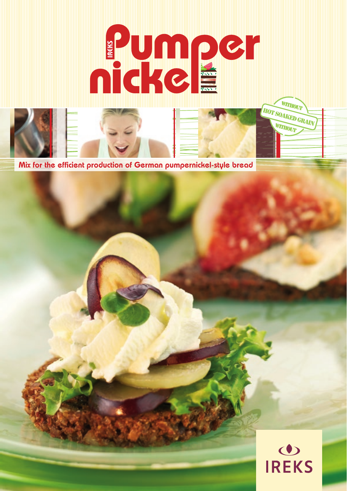

Mix for the efficient production of German pumpernickel-style bread

# O<br>**IREKS**